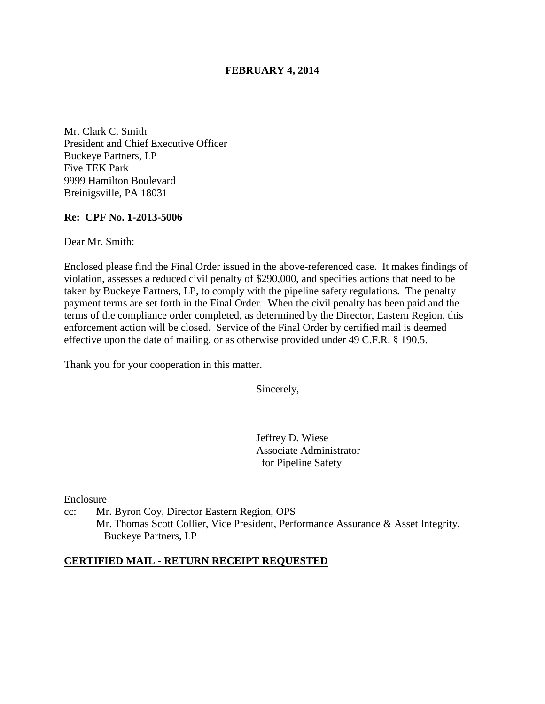# **FEBRUARY 4, 2014**

Mr. Clark C. Smith President and Chief Executive Officer Buckeye Partners, LP Five TEK Park 9999 Hamilton Boulevard Breinigsville, PA 18031

# **Re: CPF No. 1-2013-5006**

Dear Mr. Smith:

Enclosed please find the Final Order issued in the above-referenced case. It makes findings of violation, assesses a reduced civil penalty of \$290,000, and specifies actions that need to be taken by Buckeye Partners, LP, to comply with the pipeline safety regulations. The penalty payment terms are set forth in the Final Order. When the civil penalty has been paid and the terms of the compliance order completed, as determined by the Director, Eastern Region, this enforcement action will be closed. Service of the Final Order by certified mail is deemed effective upon the date of mailing, or as otherwise provided under 49 C.F.R. § 190.5.

Thank you for your cooperation in this matter.

Sincerely,

Jeffrey D. Wiese Associate Administrator for Pipeline Safety

Enclosure

cc: Mr. Byron Coy, Director Eastern Region, OPS Mr. Thomas Scott Collier, Vice President, Performance Assurance & Asset Integrity, Buckeye Partners, LP

# **CERTIFIED MAIL - RETURN RECEIPT REQUESTED**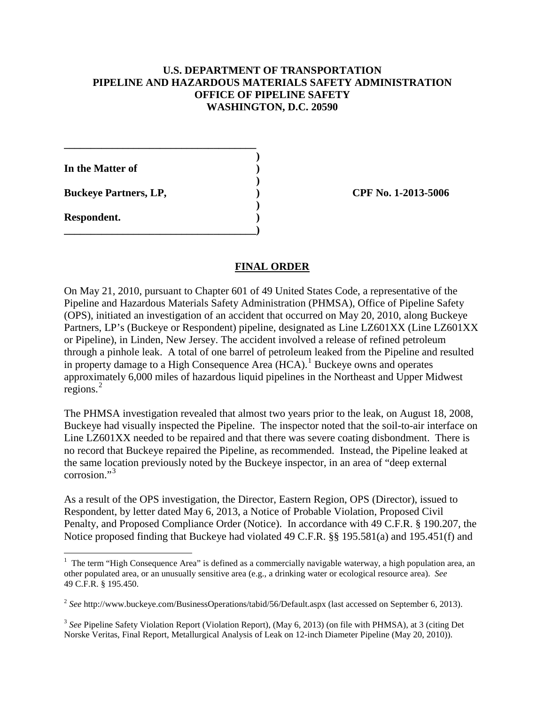# **U.S. DEPARTMENT OF TRANSPORTATION PIPELINE AND HAZARDOUS MATERIALS SAFETY ADMINISTRATION OFFICE OF PIPELINE SAFETY WASHINGTON, D.C. 20590**

**In the Matter of )** 

**Buckeye Partners, LP,**  (2013-5006)

**\_\_\_\_\_\_\_\_\_\_\_\_\_\_\_\_\_\_\_\_\_\_\_\_\_\_\_\_\_\_\_\_\_\_\_\_ )** 

 **)** 

 **)** 

**\_\_\_\_\_\_\_\_\_\_\_\_\_\_\_\_\_\_\_\_\_\_\_\_\_\_\_\_\_\_\_\_\_\_\_\_)** 

**Respondent. )** 

# **FINAL ORDER**

On May 21, 2010, pursuant to Chapter 601 of 49 United States Code, a representative of the Pipeline and Hazardous Materials Safety Administration (PHMSA), Office of Pipeline Safety (OPS), initiated an investigation of an accident that occurred on May 20, 2010, along Buckeye Partners, LP's (Buckeye or Respondent) pipeline, designated as Line LZ601XX (Line LZ601XX or Pipeline), in Linden, New Jersey. The accident involved a release of refined petroleum through a pinhole leak. A total of one barrel of petroleum leaked from the Pipeline and resulted in property damage to a High Consequence Area (HCA).<sup>1</sup> Buckeye owns and operates approximately 6,000 miles of hazardous liquid pipelines in the Northeast and Upper Midwest regions. $^{2}$ 

The PHMSA investigation revealed that almost two years prior to the leak, on August 18, 2008, Buckeye had visually inspected the Pipeline. The inspector noted that the soil-to-air interface on Line LZ601XX needed to be repaired and that there was severe coating disbondment. There is no record that Buckeye repaired the Pipeline, as recommended. Instead, the Pipeline leaked at the same location previously noted by the Buckeye inspector, in an area of "deep external corrosion."<sup>3</sup>

As a result of the OPS investigation, the Director, Eastern Region, OPS (Director), issued to Respondent, by letter dated May 6, 2013, a Notice of Probable Violation, Proposed Civil Penalty, and Proposed Compliance Order (Notice). In accordance with 49 C.F.R. § 190.207, the Notice proposed finding that Buckeye had violated 49 C.F.R. §§ 195.581(a) and 195.451(f) and

<sup>&</sup>lt;sup>1</sup> The term "High Consequence Area" is defined as a commercially navigable waterway, a high population area, an other populated area, or an unusually sensitive area (e.g., a drinking water or ecological resource area). *See*  49 C.F.R. § 195.450.

<sup>2</sup> *See* http://www.buckeye.com/BusinessOperations/tabid/56/Default.aspx (last accessed on September 6, 2013).

<sup>3</sup> *See* Pipeline Safety Violation Report (Violation Report), (May 6, 2013) (on file with PHMSA), at 3 (citing Det Norske Veritas, Final Report, Metallurgical Analysis of Leak on 12-inch Diameter Pipeline (May 20, 2010)).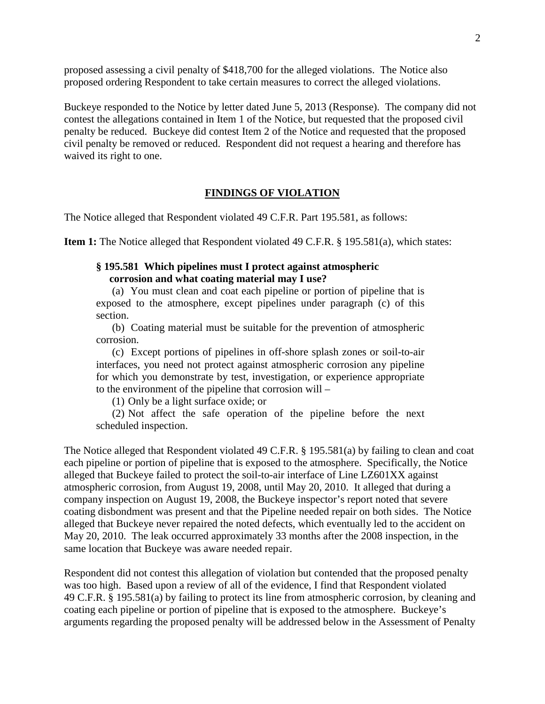proposed assessing a civil penalty of \$418,700 for the alleged violations. The Notice also proposed ordering Respondent to take certain measures to correct the alleged violations.

Buckeye responded to the Notice by letter dated June 5, 2013 (Response). The company did not contest the allegations contained in Item 1 of the Notice, but requested that the proposed civil penalty be reduced. Buckeye did contest Item 2 of the Notice and requested that the proposed civil penalty be removed or reduced. Respondent did not request a hearing and therefore has waived its right to one.

#### **FINDINGS OF VIOLATION**

The Notice alleged that Respondent violated 49 C.F.R. Part 195.581, as follows:

**Item 1:** The Notice alleged that Respondent violated 49 C.F.R. § 195.581(a), which states:

### **§ 195.581 Which pipelines must I protect against atmospheric corrosion and what coating material may I use?**

(a) You must clean and coat each pipeline or portion of pipeline that is exposed to the atmosphere, except pipelines under paragraph (c) of this section.

(b) Coating material must be suitable for the prevention of atmospheric corrosion.

(c) Except portions of pipelines in off-shore splash zones or soil-to-air interfaces, you need not protect against atmospheric corrosion any pipeline for which you demonstrate by test, investigation, or experience appropriate to the environment of the pipeline that corrosion will –

(1) Only be a light surface oxide; or

(2) Not affect the safe operation of the pipeline before the next scheduled inspection.

The Notice alleged that Respondent violated 49 C.F.R. § 195.581(a) by failing to clean and coat each pipeline or portion of pipeline that is exposed to the atmosphere. Specifically, the Notice alleged that Buckeye failed to protect the soil-to-air interface of Line LZ601XX against atmospheric corrosion, from August 19, 2008, until May 20, 2010. It alleged that during a company inspection on August 19, 2008, the Buckeye inspector's report noted that severe coating disbondment was present and that the Pipeline needed repair on both sides. The Notice alleged that Buckeye never repaired the noted defects, which eventually led to the accident on May 20, 2010. The leak occurred approximately 33 months after the 2008 inspection, in the same location that Buckeye was aware needed repair.

Respondent did not contest this allegation of violation but contended that the proposed penalty was too high. Based upon a review of all of the evidence, I find that Respondent violated 49 C.F.R. § 195.581(a) by failing to protect its line from atmospheric corrosion, by cleaning and coating each pipeline or portion of pipeline that is exposed to the atmosphere. Buckeye's arguments regarding the proposed penalty will be addressed below in the Assessment of Penalty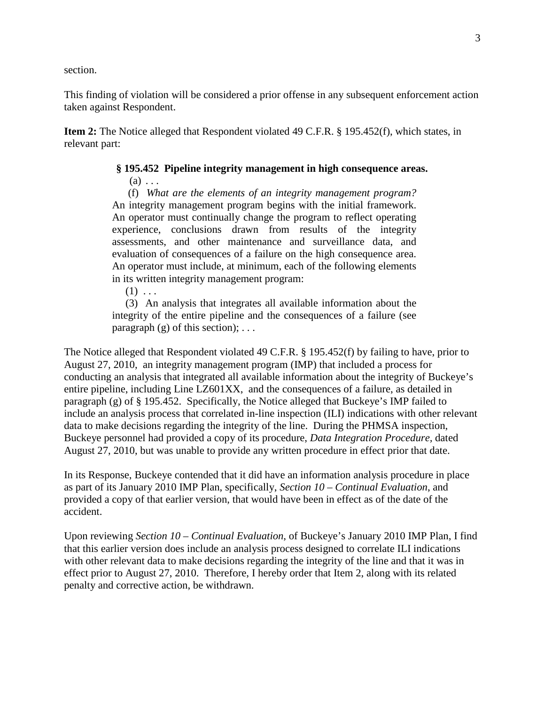section.

This finding of violation will be considered a prior offense in any subsequent enforcement action taken against Respondent.

**Item 2:** The Notice alleged that Respondent violated 49 C.F.R. § 195.452(f), which states, in relevant part:

### **§ 195.452 Pipeline integrity management in high consequence areas.**

 $(a) \ldots$ 

(f) *What are the elements of an integrity management program?* An integrity management program begins with the initial framework. An operator must continually change the program to reflect operating experience, conclusions drawn from results of the integrity assessments, and other maintenance and surveillance data, and evaluation of consequences of a failure on the high consequence area. An operator must include, at minimum, each of the following elements in its written integrity management program:

 $(1) \ldots$ 

 (3) An analysis that integrates all available information about the integrity of the entire pipeline and the consequences of a failure (see paragraph  $(g)$  of this section);  $\dots$ 

The Notice alleged that Respondent violated 49 C.F.R. § 195.452(f) by failing to have, prior to August 27, 2010, an integrity management program (IMP) that included a process for conducting an analysis that integrated all available information about the integrity of Buckeye's entire pipeline, including Line LZ601XX, and the consequences of a failure, as detailed in paragraph (g) of § 195.452. Specifically, the Notice alleged that Buckeye's IMP failed to include an analysis process that correlated in-line inspection (ILI) indications with other relevant data to make decisions regarding the integrity of the line. During the PHMSA inspection, Buckeye personnel had provided a copy of its procedure, *Data Integration Procedure,* dated August 27, 2010, but was unable to provide any written procedure in effect prior that date.

In its Response, Buckeye contended that it did have an information analysis procedure in place as part of its January 2010 IMP Plan, specifically, *Section 10 – Continual Evaluation*, and provided a copy of that earlier version, that would have been in effect as of the date of the accident.

Upon reviewing *Section 10 – Continual Evaluation*, of Buckeye's January 2010 IMP Plan, I find that this earlier version does include an analysis process designed to correlate ILI indications with other relevant data to make decisions regarding the integrity of the line and that it was in effect prior to August 27, 2010. Therefore, I hereby order that Item 2, along with its related penalty and corrective action, be withdrawn.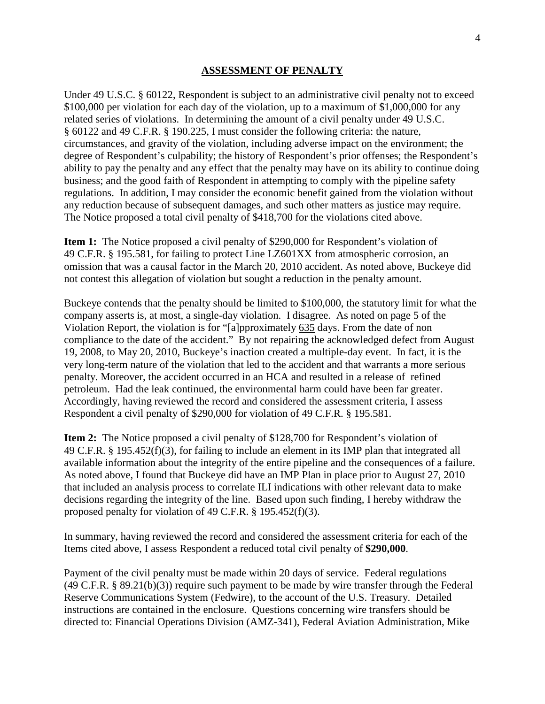#### **ASSESSMENT OF PENALTY**

Under 49 U.S.C. § 60122, Respondent is subject to an administrative civil penalty not to exceed \$100,000 per violation for each day of the violation, up to a maximum of \$1,000,000 for any related series of violations. In determining the amount of a civil penalty under 49 U.S.C. § 60122 and 49 C.F.R. § 190.225, I must consider the following criteria: the nature, circumstances, and gravity of the violation, including adverse impact on the environment; the degree of Respondent's culpability; the history of Respondent's prior offenses; the Respondent's ability to pay the penalty and any effect that the penalty may have on its ability to continue doing business; and the good faith of Respondent in attempting to comply with the pipeline safety regulations. In addition, I may consider the economic benefit gained from the violation without any reduction because of subsequent damages, and such other matters as justice may require. The Notice proposed a total civil penalty of \$418,700 for the violations cited above.

**Item 1:** The Notice proposed a civil penalty of \$290,000 for Respondent's violation of 49 C.F.R. § 195.581, for failing to protect Line LZ601XX from atmospheric corrosion, an omission that was a causal factor in the March 20, 2010 accident. As noted above, Buckeye did not contest this allegation of violation but sought a reduction in the penalty amount.

Buckeye contends that the penalty should be limited to \$100,000, the statutory limit for what the company asserts is, at most, a single-day violation. I disagree. As noted on page 5 of the Violation Report, the violation is for "[a]pproximately 635 days. From the date of non compliance to the date of the accident." By not repairing the acknowledged defect from August 19, 2008, to May 20, 2010, Buckeye's inaction created a multiple-day event. In fact, it is the very long-term nature of the violation that led to the accident and that warrants a more serious penalty. Moreover, the accident occurred in an HCA and resulted in a release of refined petroleum. Had the leak continued, the environmental harm could have been far greater. Accordingly, having reviewed the record and considered the assessment criteria, I assess Respondent a civil penalty of \$290,000 for violation of 49 C.F.R. § 195.581.

**Item 2:** The Notice proposed a civil penalty of \$128,700 for Respondent's violation of 49 C.F.R. § 195.452(f)(3), for failing to include an element in its IMP plan that integrated all available information about the integrity of the entire pipeline and the consequences of a failure. As noted above, I found that Buckeye did have an IMP Plan in place prior to August 27, 2010 that included an analysis process to correlate ILI indications with other relevant data to make decisions regarding the integrity of the line. Based upon such finding, I hereby withdraw the proposed penalty for violation of 49 C.F.R. § 195.452(f)(3).

In summary, having reviewed the record and considered the assessment criteria for each of the Items cited above, I assess Respondent a reduced total civil penalty of **\$290,000**.

Payment of the civil penalty must be made within 20 days of service. Federal regulations (49 C.F.R. § 89.21(b)(3)) require such payment to be made by wire transfer through the Federal Reserve Communications System (Fedwire), to the account of the U.S. Treasury. Detailed instructions are contained in the enclosure. Questions concerning wire transfers should be directed to: Financial Operations Division (AMZ-341), Federal Aviation Administration, Mike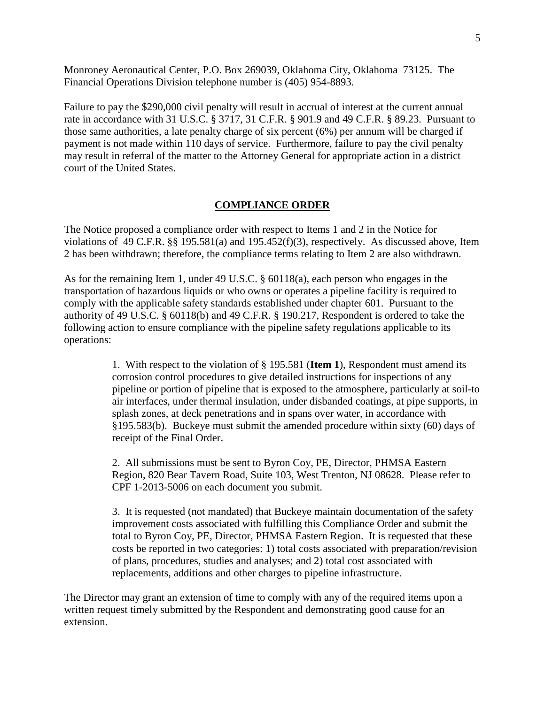Monroney Aeronautical Center, P.O. Box 269039, Oklahoma City, Oklahoma 73125. The Financial Operations Division telephone number is (405) 954-8893.

Failure to pay the \$290,000 civil penalty will result in accrual of interest at the current annual rate in accordance with 31 U.S.C. § 3717, 31 C.F.R. § 901.9 and 49 C.F.R. § 89.23. Pursuant to those same authorities, a late penalty charge of six percent (6%) per annum will be charged if payment is not made within 110 days of service. Furthermore, failure to pay the civil penalty may result in referral of the matter to the Attorney General for appropriate action in a district court of the United States.

#### **COMPLIANCE ORDER**

The Notice proposed a compliance order with respect to Items 1 and 2 in the Notice for violations of 49 C.F.R. §§ 195.581(a) and 195.452(f)(3), respectively. As discussed above, Item 2 has been withdrawn; therefore, the compliance terms relating to Item 2 are also withdrawn.

As for the remaining Item 1, under 49 U.S.C. § 60118(a), each person who engages in the transportation of hazardous liquids or who owns or operates a pipeline facility is required to comply with the applicable safety standards established under chapter 601. Pursuant to the authority of 49 U.S.C. § 60118(b) and 49 C.F.R. § 190.217, Respondent is ordered to take the following action to ensure compliance with the pipeline safety regulations applicable to its operations:

> 1. With respect to the violation of § 195.581 (**Item 1**), Respondent must amend its corrosion control procedures to give detailed instructions for inspections of any pipeline or portion of pipeline that is exposed to the atmosphere, particularly at soil-to air interfaces, under thermal insulation, under disbanded coatings, at pipe supports, in splash zones, at deck penetrations and in spans over water, in accordance with §195.583(b). Buckeye must submit the amended procedure within sixty (60) days of receipt of the Final Order.

2. All submissions must be sent to Byron Coy, PE, Director, PHMSA Eastern Region, 820 Bear Tavern Road, Suite 103, West Trenton, NJ 08628. Please refer to CPF 1-2013-5006 on each document you submit.

3. It is requested (not mandated) that Buckeye maintain documentation of the safety improvement costs associated with fulfilling this Compliance Order and submit the total to Byron Coy, PE, Director, PHMSA Eastern Region. It is requested that these costs be reported in two categories: 1) total costs associated with preparation/revision of plans, procedures, studies and analyses; and 2) total cost associated with replacements, additions and other charges to pipeline infrastructure.

The Director may grant an extension of time to comply with any of the required items upon a written request timely submitted by the Respondent and demonstrating good cause for an extension.